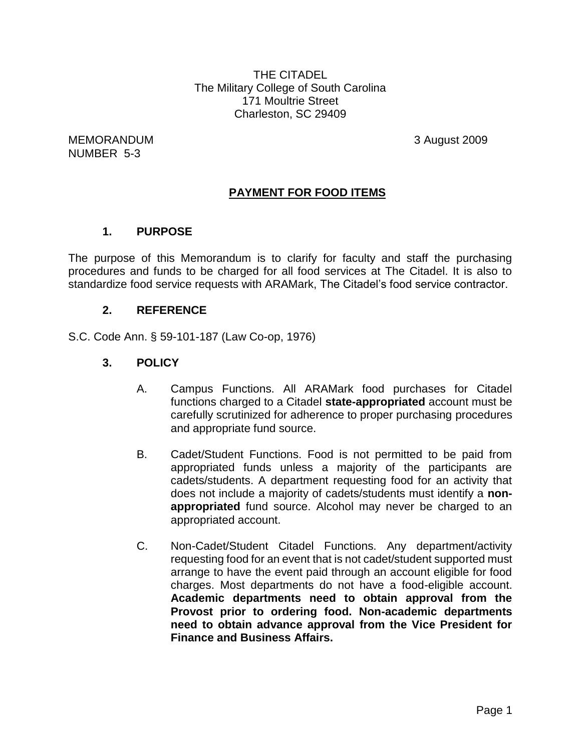THE CITADEL The Military College of South Carolina 171 Moultrie Street Charleston, SC 29409

MEMORANDUM 3 August 2009 NUMBER 5-3

## **PAYMENT FOR FOOD ITEMS**

#### **1. PURPOSE**

The purpose of this Memorandum is to clarify for faculty and staff the purchasing procedures and funds to be charged for all food services at The Citadel. It is also to standardize food service requests with ARAMark, The Citadel's food service contractor.

#### **2. REFERENCE**

S.C. Code Ann. § 59-101-187 (Law Co-op, 1976)

#### **3. POLICY**

- A. Campus Functions. All ARAMark food purchases for Citadel functions charged to a Citadel **state-appropriated** account must be carefully scrutinized for adherence to proper purchasing procedures and appropriate fund source.
- B. Cadet/Student Functions. Food is not permitted to be paid from appropriated funds unless a majority of the participants are cadets/students. A department requesting food for an activity that does not include a majority of cadets/students must identify a **nonappropriated** fund source. Alcohol may never be charged to an appropriated account.
- C. Non-Cadet/Student Citadel Functions. Any department/activity requesting food for an event that is not cadet/student supported must arrange to have the event paid through an account eligible for food charges. Most departments do not have a food-eligible account. **Academic departments need to obtain approval from the Provost prior to ordering food. Non-academic departments need to obtain advance approval from the Vice President for Finance and Business Affairs.**